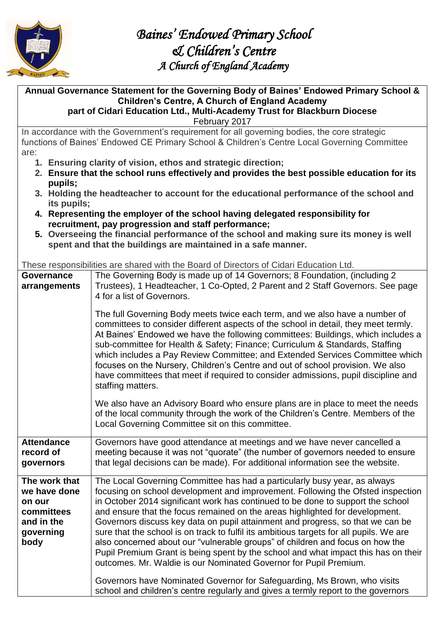

**Annual Governance Statement for the Governing Body of Baines' Endowed Primary School & Children's Centre, A Church of England Academy part of Cidari Education Ltd., Multi-Academy Trust for Blackburn Diocese** 

February 2017

In accordance with the Government's requirement for all governing bodies, the core strategic functions of Baines' Endowed CE Primary School & Children's Centre Local Governing Committee are:

- **1. Ensuring clarity of vision, ethos and strategic direction;**
- **2. Ensure that the school runs effectively and provides the best possible education for its pupils;**
- **3. Holding the headteacher to account for the educational performance of the school and its pupils;**
- **4. Representing the employer of the school having delegated responsibility for recruitment, pay progression and staff performance;**
- **5. Overseeing the financial performance of the school and making sure its money is well spent and that the buildings are maintained in a safe manner.**

These responsibilities are shared with the Board of Directors of Cidari Education Ltd.

| Governance<br>arrangements                                                               | The Governing Body is made up of 14 Governors; 8 Foundation, (including 2<br>Trustees), 1 Headteacher, 1 Co-Opted, 2 Parent and 2 Staff Governors. See page<br>4 for a list of Governors.<br>The full Governing Body meets twice each term, and we also have a number of<br>committees to consider different aspects of the school in detail, they meet termly.<br>At Baines' Endowed we have the following committees: Buildings, which includes a<br>sub-committee for Health & Safety; Finance; Curriculum & Standards, Staffing<br>which includes a Pay Review Committee; and Extended Services Committee which<br>focuses on the Nursery, Children's Centre and out of school provision. We also<br>have committees that meet if required to consider admissions, pupil discipline and<br>staffing matters.<br>We also have an Advisory Board who ensure plans are in place to meet the needs |
|------------------------------------------------------------------------------------------|----------------------------------------------------------------------------------------------------------------------------------------------------------------------------------------------------------------------------------------------------------------------------------------------------------------------------------------------------------------------------------------------------------------------------------------------------------------------------------------------------------------------------------------------------------------------------------------------------------------------------------------------------------------------------------------------------------------------------------------------------------------------------------------------------------------------------------------------------------------------------------------------------|
|                                                                                          | of the local community through the work of the Children's Centre. Members of the<br>Local Governing Committee sit on this committee.                                                                                                                                                                                                                                                                                                                                                                                                                                                                                                                                                                                                                                                                                                                                                               |
| <b>Attendance</b><br>record of<br>governors                                              | Governors have good attendance at meetings and we have never cancelled a<br>meeting because it was not "quorate" (the number of governors needed to ensure<br>that legal decisions can be made). For additional information see the website.                                                                                                                                                                                                                                                                                                                                                                                                                                                                                                                                                                                                                                                       |
| The work that<br>we have done<br>on our<br>committees<br>and in the<br>governing<br>body | The Local Governing Committee has had a particularly busy year, as always<br>focusing on school development and improvement. Following the Ofsted inspection<br>in October 2014 significant work has continued to be done to support the school<br>and ensure that the focus remained on the areas highlighted for development.<br>Governors discuss key data on pupil attainment and progress, so that we can be<br>sure that the school is on track to fulfil its ambitious targets for all pupils. We are<br>also concerned about our "vulnerable groups" of children and focus on how the<br>Pupil Premium Grant is being spent by the school and what impact this has on their<br>outcomes. Mr. Waldie is our Nominated Governor for Pupil Premium.<br>Governors have Nominated Governor for Safeguarding, Ms Brown, who visits                                                               |
|                                                                                          | school and children's centre regularly and gives a termly report to the governors                                                                                                                                                                                                                                                                                                                                                                                                                                                                                                                                                                                                                                                                                                                                                                                                                  |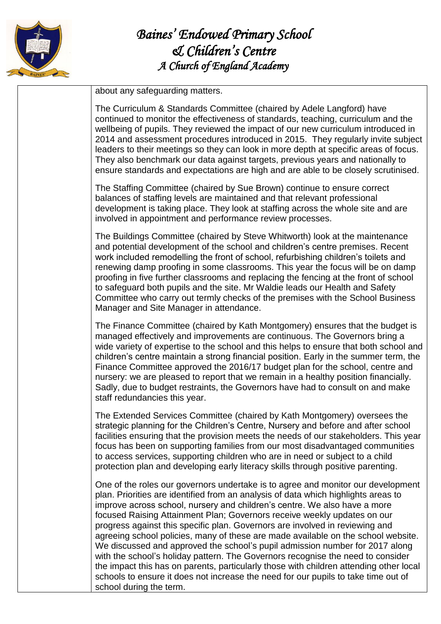

about any safeguarding matters.

The Curriculum & Standards Committee (chaired by Adele Langford) have continued to monitor the effectiveness of standards, teaching, curriculum and the wellbeing of pupils. They reviewed the impact of our new curriculum introduced in 2014 and assessment procedures introduced in 2015. They regularly invite subject leaders to their meetings so they can look in more depth at specific areas of focus. They also benchmark our data against targets, previous years and nationally to ensure standards and expectations are high and are able to be closely scrutinised.

The Staffing Committee (chaired by Sue Brown) continue to ensure correct balances of staffing levels are maintained and that relevant professional development is taking place. They look at staffing across the whole site and are involved in appointment and performance review processes.

The Buildings Committee (chaired by Steve Whitworth) look at the maintenance and potential development of the school and children's centre premises. Recent work included remodelling the front of school, refurbishing children's toilets and renewing damp proofing in some classrooms. This year the focus will be on damp proofing in five further classrooms and replacing the fencing at the front of school to safeguard both pupils and the site. Mr Waldie leads our Health and Safety Committee who carry out termly checks of the premises with the School Business Manager and Site Manager in attendance.

The Finance Committee (chaired by Kath Montgomery) ensures that the budget is managed effectively and improvements are continuous. The Governors bring a wide variety of expertise to the school and this helps to ensure that both school and children's centre maintain a strong financial position. Early in the summer term, the Finance Committee approved the 2016/17 budget plan for the school, centre and nursery: we are pleased to report that we remain in a healthy position financially. Sadly, due to budget restraints, the Governors have had to consult on and make staff redundancies this year.

The Extended Services Committee (chaired by Kath Montgomery) oversees the strategic planning for the Children's Centre, Nursery and before and after school facilities ensuring that the provision meets the needs of our stakeholders. This year focus has been on supporting families from our most disadvantaged communities to access services, supporting children who are in need or subject to a child protection plan and developing early literacy skills through positive parenting.

One of the roles our governors undertake is to agree and monitor our development plan. Priorities are identified from an analysis of data which highlights areas to improve across school, nursery and children's centre. We also have a more focused Raising Attainment Plan; Governors receive weekly updates on our progress against this specific plan. Governors are involved in reviewing and agreeing school policies, many of these are made available on the school website. We discussed and approved the school's pupil admission number for 2017 along with the school's holiday pattern. The Governors recognise the need to consider the impact this has on parents, particularly those with children attending other local schools to ensure it does not increase the need for our pupils to take time out of school during the term.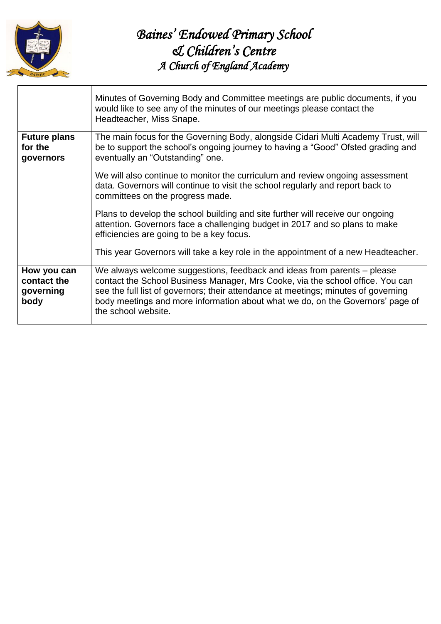

|                                                 | Minutes of Governing Body and Committee meetings are public documents, if you<br>would like to see any of the minutes of our meetings please contact the<br>Headteacher, Miss Snape.                                                                                                                                                                     |
|-------------------------------------------------|----------------------------------------------------------------------------------------------------------------------------------------------------------------------------------------------------------------------------------------------------------------------------------------------------------------------------------------------------------|
| <b>Future plans</b><br>for the<br>governors     | The main focus for the Governing Body, alongside Cidari Multi Academy Trust, will<br>be to support the school's ongoing journey to having a "Good" Ofsted grading and<br>eventually an "Outstanding" one.                                                                                                                                                |
|                                                 | We will also continue to monitor the curriculum and review ongoing assessment<br>data. Governors will continue to visit the school regularly and report back to<br>committees on the progress made.                                                                                                                                                      |
|                                                 | Plans to develop the school building and site further will receive our ongoing<br>attention. Governors face a challenging budget in 2017 and so plans to make<br>efficiencies are going to be a key focus.                                                                                                                                               |
|                                                 | This year Governors will take a key role in the appointment of a new Headteacher.                                                                                                                                                                                                                                                                        |
| How you can<br>contact the<br>governing<br>body | We always welcome suggestions, feedback and ideas from parents – please<br>contact the School Business Manager, Mrs Cooke, via the school office. You can<br>see the full list of governors; their attendance at meetings; minutes of governing<br>body meetings and more information about what we do, on the Governors' page of<br>the school website. |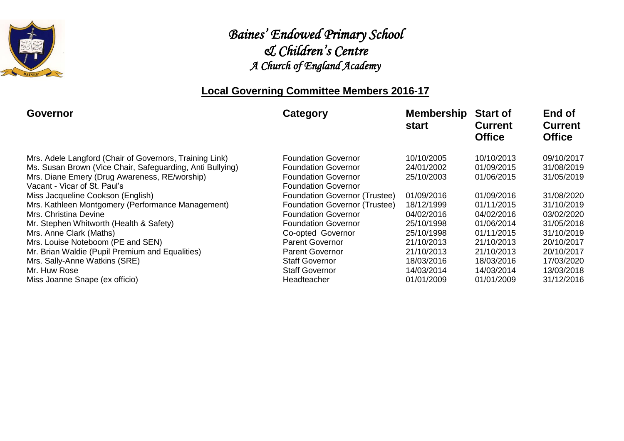

#### **Local Governing Committee Members 2016-17**

| <b>Governor</b>                                           | Category                      | <b>Membership</b><br>start | <b>Start of</b><br><b>Current</b><br><b>Office</b> | End of<br><b>Current</b><br><b>Office</b> |
|-----------------------------------------------------------|-------------------------------|----------------------------|----------------------------------------------------|-------------------------------------------|
| Mrs. Adele Langford (Chair of Governors, Training Link)   | <b>Foundation Governor</b>    | 10/10/2005                 | 10/10/2013                                         | 09/10/2017                                |
| Ms. Susan Brown (Vice Chair, Safeguarding, Anti Bullying) | <b>Foundation Governor</b>    | 24/01/2002                 | 01/09/2015                                         | 31/08/2019                                |
| Mrs. Diane Emery (Drug Awareness, RE/worship)             | <b>Foundation Governor</b>    | 25/10/2003                 | 01/06/2015                                         | 31/05/2019                                |
| Vacant - Vicar of St. Paul's                              | <b>Foundation Governor</b>    |                            |                                                    |                                           |
| Miss Jacqueline Cookson (English)                         | Foundation Governor (Trustee) | 01/09/2016                 | 01/09/2016                                         | 31/08/2020                                |
| Mrs. Kathleen Montgomery (Performance Management)         | Foundation Governor (Trustee) | 18/12/1999                 | 01/11/2015                                         | 31/10/2019                                |
| Mrs. Christina Devine                                     | <b>Foundation Governor</b>    | 04/02/2016                 | 04/02/2016                                         | 03/02/2020                                |
| Mr. Stephen Whitworth (Health & Safety)                   | <b>Foundation Governor</b>    | 25/10/1998                 | 01/06/2014                                         | 31/05/2018                                |
| Mrs. Anne Clark (Maths)                                   | Co-opted Governor             | 25/10/1998                 | 01/11/2015                                         | 31/10/2019                                |
| Mrs. Louise Noteboom (PE and SEN)                         | <b>Parent Governor</b>        | 21/10/2013                 | 21/10/2013                                         | 20/10/2017                                |
| Mr. Brian Waldie (Pupil Premium and Equalities)           | <b>Parent Governor</b>        | 21/10/2013                 | 21/10/2013                                         | 20/10/2017                                |
| Mrs. Sally-Anne Watkins (SRE)                             | <b>Staff Governor</b>         | 18/03/2016                 | 18/03/2016                                         | 17/03/2020                                |
| Mr. Huw Rose                                              | <b>Staff Governor</b>         | 14/03/2014                 | 14/03/2014                                         | 13/03/2018                                |
| Miss Joanne Snape (ex officio)                            | Headteacher                   | 01/01/2009                 | 01/01/2009                                         | 31/12/2016                                |